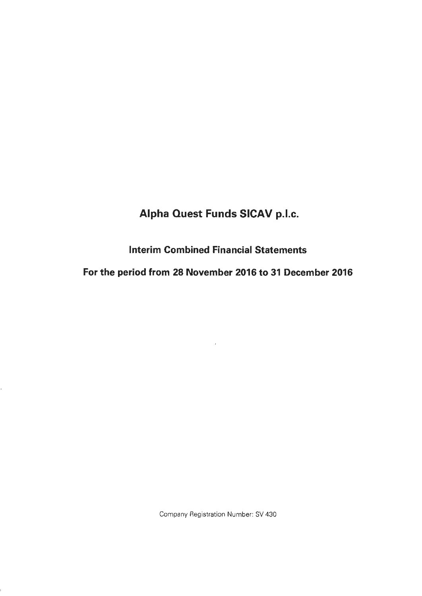**Interim Combined Financial Statements** 

**For the period from 28 November 2016 to 31 December 2016** 

Company Registration Number: SV 430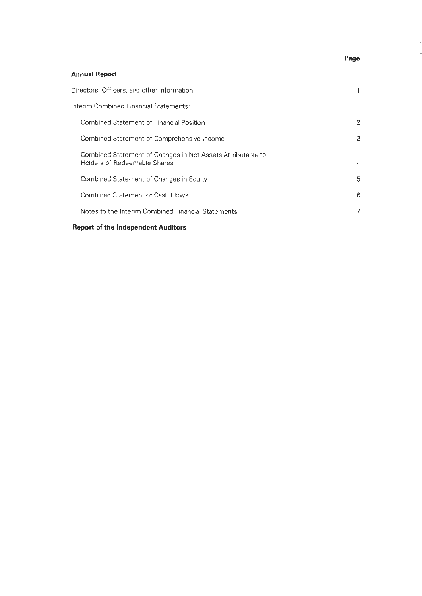## **Page**

### **Annual Report**

| Directors, Officers, and other information                                                  |   |  |
|---------------------------------------------------------------------------------------------|---|--|
| Interim Combined Financial Statements:                                                      |   |  |
| Combined Statement of Financial Position                                                    | 2 |  |
| Combined Statement of Comprehensive Income                                                  | 3 |  |
| Combined Statement of Changes in Net Assets Attributable to<br>Holders of Redeemable Shares | 4 |  |
| Combined Statement of Changes in Equity                                                     | 5 |  |
| Combined Statement of Cash Flows                                                            | 6 |  |
| Notes to the Interim Combined Financial Statements                                          | 7 |  |
|                                                                                             |   |  |

### **Report of the Independent Auditors**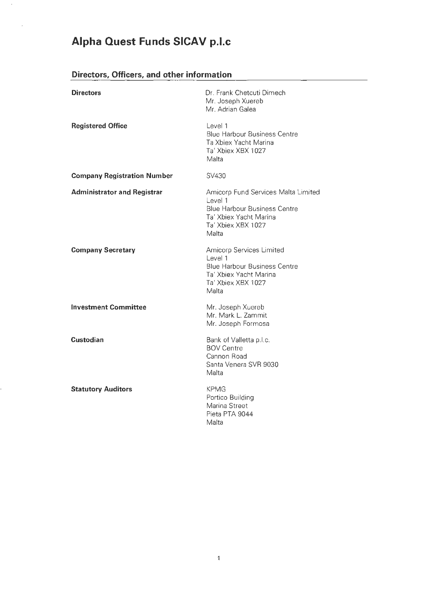# **Directors, Officers, and other information**

| <b>Directors</b>                   | Dr. Frank Chetcuti Dimech<br>Mr. Joseph Xuereb<br>Mr. Adrian Galea                                                                             |
|------------------------------------|------------------------------------------------------------------------------------------------------------------------------------------------|
| <b>Registered Office</b>           | Level 1<br><b>Blue Harbour Business Centre</b><br>Ta Xbiex Yacht Marina<br>Ta' Xbiex XBX 1027<br>Malta                                         |
| <b>Company Registration Number</b> | SV430                                                                                                                                          |
| <b>Administrator and Registrar</b> | Amicorp Fund Services Malta Limited<br>Level 1<br><b>Blue Harbour Business Centre</b><br>Ta' Xbiex Yacht Marina<br>Ta' Xbiex XBX 1027<br>Malta |
| <b>Company Secretary</b>           | Amicorp Services Limited<br>Level 1<br><b>Blue Harbour Business Centre</b><br>Ta' Xbiex Yacht Marina<br>Ta' Xbiex XBX 1027<br>Maita            |
| <b>Investment Committee</b>        | Mr. Joseph Xuereb<br>Mr. Mark L. Zammit<br>Mr. Joseph Formosa                                                                                  |
| Custodian                          | Bank of Valletta p.l.c.<br><b>BOV Centre</b><br>Cannon Road<br>Santa Venera SVR 9030<br>Malta                                                  |
| <b>Statutory Auditors</b>          | KPMG<br>Portico Building<br>Marina Street<br>Pieta PTA 9044<br>Malta                                                                           |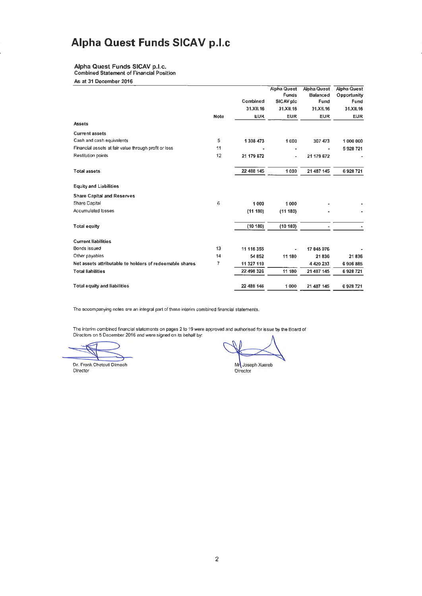### Alpha Quest Funds SICAV p.l.c.

Combined Statement of Financial Position

As at 31 December 2016

|                                                         |             |            | <b>Alpha Quest</b> | Alpha Quest     | <b>Alpha Quest</b> |
|---------------------------------------------------------|-------------|------------|--------------------|-----------------|--------------------|
|                                                         |             |            | Funds              | <b>Balanced</b> | Opportunity        |
|                                                         |             | Combined   | SICAV plc          | Fund            | Fund               |
|                                                         |             | 31.XII.16  | 31.XII.16          | 31.XII.16       | 31.XII.16          |
|                                                         | <b>Note</b> | <b>LUR</b> | <b>EUR</b>         | <b>EUR</b>      | <b>EUR</b>         |
| <b>Assets</b>                                           |             |            |                    |                 |                    |
| <b>Current assets</b>                                   |             |            |                    |                 |                    |
| Cash and cash equivalents                               | 5           | 1 308 473  | 1000               | 307 473         | 1 000 000          |
| Financial assets at fair value through profit or loss   | 11          |            |                    |                 | 5928721            |
| Restitution points                                      | 12          | 21 179 672 |                    | 21 179 672      |                    |
| <b>Total assets</b>                                     |             | 22 488 145 | 1000               | 21 487 145      | 6928721            |
| <b>Equity and Liabilities</b>                           |             |            |                    |                 |                    |
| <b>Share Capital and Reserves</b>                       |             |            |                    |                 |                    |
| Share Capital                                           | 6           | 1000       | 1000               |                 |                    |
| <b>Accumulated losses</b>                               |             | (11180)    | (11180)            |                 |                    |
| <b>Total equity</b>                                     |             | (10180)    | (10180)            |                 |                    |
| <b>Current liabilities</b>                              |             |            |                    |                 |                    |
| Bonds issued                                            | 13          | 11 116 355 |                    | 17 045 076      |                    |
| Other payables                                          | 14          | 54 852     | 11 180             | 21836           | 21836              |
| Net assets attributable to holders of redeemable shares | 7           | 11 327 119 |                    | 4 4 20 2 33     | 6906885            |
| <b>Total liabilities</b>                                |             | 22 498 326 | 11 180             | 21 487 145      | 6928721            |
| Total equity and liabilities                            |             | 22 488 146 | 1000               | 21 487 145      | 6928721            |

The accompanying notes are an integral part of these interim combined financial statements.

The interim combined financial statements on pages 2 to 19 were approved and authorised for issue by the Board of Directors on 5 December 2016 and were signed on its behalf by:

Directors on 5 December 2016 and we<br>Dr. Frank Chetcuti Dimech

Director

Mr Joseph Xuereb Director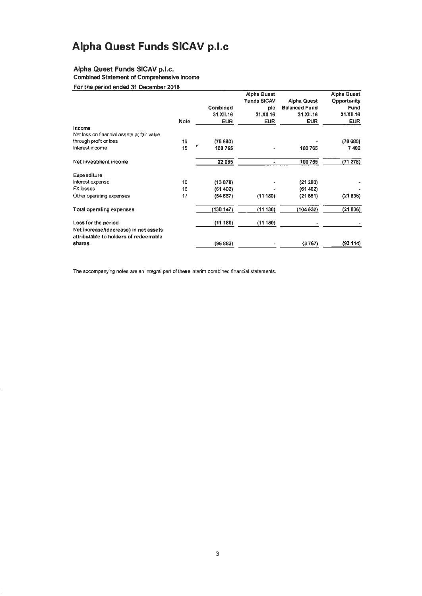#### **Alpha Quest Funds SICAV p.l.c.**

#### Combined Statement of Comprehensive Income

For the period ended 31 December 2016

|                                                 |      |             | <b>Alpha Quest</b> |                      | <b>Alpha Quest</b> |
|-------------------------------------------------|------|-------------|--------------------|----------------------|--------------------|
|                                                 |      |             | <b>Funds SICAV</b> | Alpha Quest          | Opportunity        |
|                                                 |      | Combined    | plc                | <b>Balanced Fund</b> | <b>Fund</b>        |
|                                                 |      | 31.XII.16   | 31.XII.16          | 31.XII.16            | 31.XII.16          |
|                                                 | Note | <b>EUR</b>  | <b>EUR</b>         | <b>EUR</b>           | <b>EUR</b>         |
| Income                                          |      |             |                    |                      |                    |
| Net loss on financial assets at fair value      |      |             |                    |                      |                    |
| through profit or loss                          | 16   | (78680)     |                    |                      | (78680)            |
| Interest income                                 | 15   | ▼<br>100765 |                    | 100765               | 7402               |
| Net investment income                           |      | 22 085      | ٠                  | 100765               | (71278)            |
| <b>Expenditure</b>                              |      |             |                    |                      |                    |
| Interest expense                                | 16   | (13 878)    |                    | (21 280)             |                    |
| <b>FX</b> losses                                | 16   | (61402)     |                    | (61402)              |                    |
| Other operating expenses                        | 17   | (54 867)    | (11180)            | (21851)              | (21836)            |
| <b>Total operating expenses</b>                 |      | (130147)    | (11180)            | (104 532)            | (21836)            |
| Loss for the period                             |      | (11180)     | (11180)            |                      |                    |
| Net increase/(decrease) in net assets           |      |             |                    |                      |                    |
| attributable to holders of redeemable<br>shares |      | (96 882)    |                    | (3767)               | (93 114)           |

The accompanying notes are an integral part of these interim combined financial statements.

 $\mathbf{I}$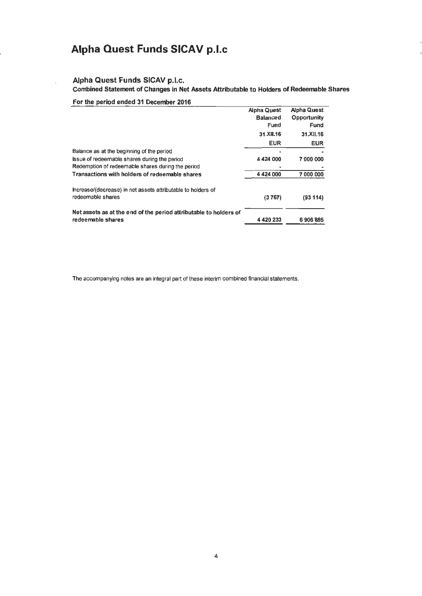## Alpha Quest Funds SICAV p.l.c.

Combined Statement of Changes in Net Assets Attributable to Holders of Redeemable Shares

#### For the period ended 31 December 2016

|                                                                   | Alpha Quest     | Alpha Quest |
|-------------------------------------------------------------------|-----------------|-------------|
|                                                                   | <b>Balanced</b> | Opportunity |
|                                                                   | Fund            | <b>Fund</b> |
|                                                                   | 31.XII.16       | 31.XII.16   |
|                                                                   | <b>EUR</b>      | <b>EUR</b>  |
| Balance as at the beginning of the period                         |                 |             |
| Issue of redeemable shares during the period                      | 4 4 24 0 00     | 7000000     |
| Redemption of redeemable shares during the period                 |                 |             |
| Transactions with holders of redeemable shares                    | 4 4 24 0 00     | 7 000 000   |
| Increase/(decrease) in net assets attributable to holders of      |                 |             |
| redeemable shares                                                 | (3767)          | (93114)     |
| Net assets as at the end of the period attributable to holders of |                 |             |
| redeemable shares                                                 | 4 4 2 0 2 3 3   | 6906885     |
|                                                                   |                 |             |

The accompanying notes are an integral part of these interim combined financial statements.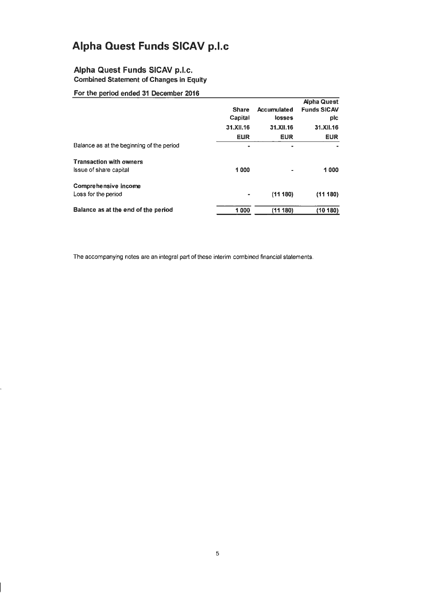### Alpha Quest Funds SICAV p.l.c. Combined Statement of Changes in Equity

### For the period ended 31 December 2016

|                                           |                |                    | <b>Alpha Quest</b> |
|-------------------------------------------|----------------|--------------------|--------------------|
|                                           | <b>Share</b>   | <b>Accumulated</b> | <b>Funds SICAV</b> |
|                                           | Capital        | losses             | plc                |
|                                           | 31.XII.16      | 31.XII.16          | 31.XII.16          |
|                                           | <b>EUR</b>     | <b>EUR</b>         | <b>EUR</b>         |
| Balance as at the beginning of the period |                | ۰                  |                    |
| <b>Transaction with owners</b>            |                |                    |                    |
| <b>Issue of share capital</b>             | 1000           |                    | 1000               |
| Comprehensive income                      |                |                    |                    |
| Loss for the period                       | $\blacksquare$ | (11180)            | (11180)            |
| Balance as at the end of the period       | 1000           | (11180)            | (10 180)           |

The accompanying notes are an integral part of these interim combined financial statements.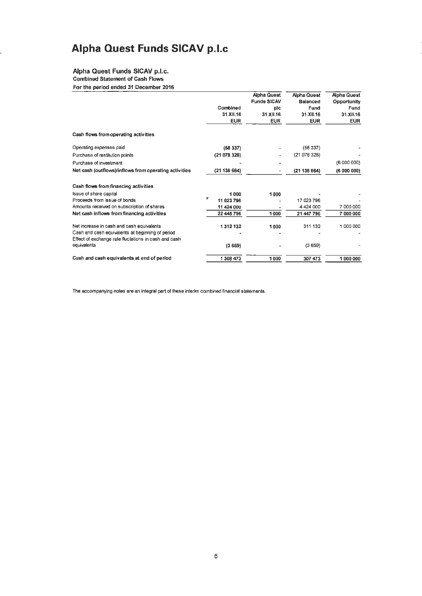## **Alpha Quest Funds SICAV p.l.c.**

Combined Statement of Cash Flows

For the period ended 31 December 2016

|                                                       |                 | <b>Alpha Quest</b> | <b>Apha Quest</b> | <b>Alpha Quest</b> |
|-------------------------------------------------------|-----------------|--------------------|-------------------|--------------------|
|                                                       |                 | <b>Funds SICAV</b> | <b>Balanced</b>   | Opportunity        |
|                                                       | Combined        | plc                | Fund              | <b>Fund</b>        |
|                                                       | 31.XII.16       | 31.XII.16          | 31.XII.16         | 31.XII.16          |
|                                                       | <b>EUR</b>      | <b>EUR</b>         | <b>EUR</b>        | <b>EUR</b>         |
| Cash flows from operating activities                  |                 |                    |                   |                    |
| Operating expenses paid                               | (58337)         |                    | (58337)           |                    |
| Purchase of restitution points                        | (21 078 328)    |                    | (21 078 328)      |                    |
| Purchase of investment                                |                 |                    |                   | (600000)           |
| Net cash (outflows)/inflows from operating activities | (21136664)      |                    | (21136664)        | (6 000 000)        |
| Cash flows from financing activities                  |                 |                    |                   |                    |
| Issue of share capital                                | 1000            | 1000               |                   |                    |
| Proceeds from issue of bonds                          | v<br>11 023 796 |                    | 17 023 796        |                    |
| Amounts received on subscription of shares            | 11 424 000      |                    | 4 4 24 0 0 0      | 7 000 000          |
| Net cash inflows from financing activities            | 22 448 796      | 1000               | 21 447 796        | 7 000 000          |
| Net increase in cash and cash equivalents             | 1312132         | 1000               | 311 132           | 1000000            |
| Cash and cash equivalents at beginning of period      |                 |                    |                   |                    |
| Effect of exchange rate fluctations in cash and cash  |                 |                    |                   |                    |
| equivalents                                           | (3659)          |                    | (3659)            |                    |
| Cash and cash equivalents at end of period            | 1 308 473       | 1000               | 307 473           | 1000000            |

The accompanying notes are an integral part of these interim combined financial statements.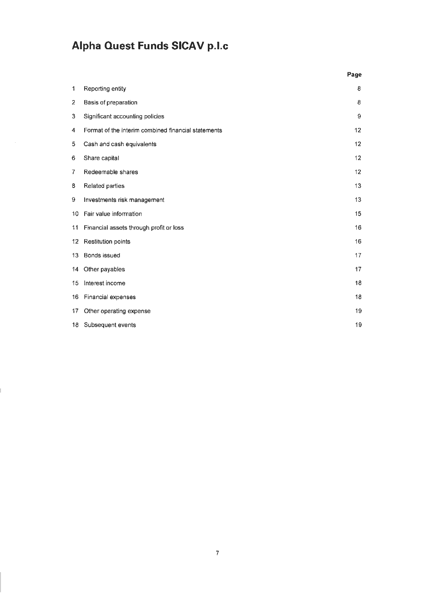$\mathbb{L}$ 

|                 |                                                     | Page |
|-----------------|-----------------------------------------------------|------|
| 1               | Reporting entity                                    | 8    |
| 2               | Basis of preparation                                | 8    |
| 3               | Significant accounting policies                     | 9    |
| 4               | Format of the interim combined financial statements | 12   |
| 5               | Cash and cash equivalents                           | 12   |
| 6               | Share capital                                       | 12   |
| 7               | Redeemable shares                                   | 12   |
| 8               | Related parties                                     | 13   |
| 9               | Investments risk management                         | 13   |
| 10 <sup>1</sup> | Fair value information                              | 15   |
|                 | 11 Financial assets through profit or loss          | 16   |
|                 | 12 Restitution points                               | 16   |
|                 | 13 Bonds issued                                     | 17   |
|                 | 14 Other payables                                   | 17   |
| 15              | Interest income                                     | 18   |
|                 | 16 Financial expenses                               | 18   |
| 17 <sup>1</sup> | Other operating expense                             | 19   |
|                 | 18 Subsequent events                                | 19   |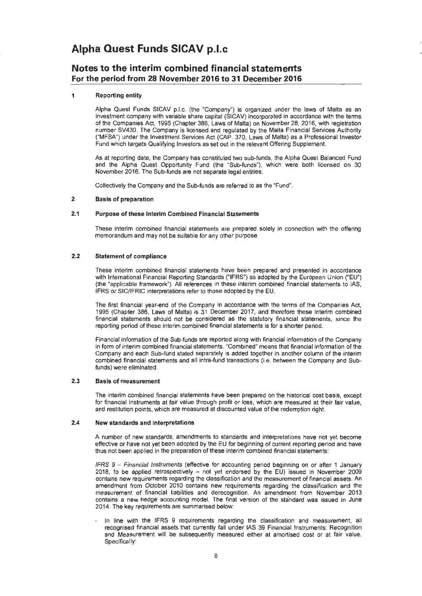## **Notes to the interim combined financial statements For the period from 28 November 2016 to 31 December 2016**

#### **1 Reporting entity**

Alpha Quest Funds SICAV p.l.c. (the "Company") is organized under the laws of Malta as an investment company with variable share capital (SICAV) incorporated in accordance with the terms of the Companies Act, 1995 (Chapter 386, Laws of Malta) on November 28, 2016, with registration number SV430. The Company is licensed and regulated by the Malta Financial Services Authority ("MFSA") under the Investment Services Act (CAP. 370, Laws of Malta) as a Professional Investor Fund which targets Qualifying Investors as set out in the relevant Offering Supplement.

As at reporting date, the Company has constituted two sub-funds, the Alpha Quest Balanced Fund and the Alpha Quest Opportunity Fund (the "Sub-funds"), which were both licensed on 30 November 2016. The Sub-funds are not separate legal entities.

Collectively the Company and the Sub-funds are referred to as the "Fund".

#### **2 Basis of preparation**

#### **2.1 Purpose of these Interim Combined Financial Statements**

These interim combined financial statements are prepared solely in connection with the offering memorandum and may not be suitable for any other purpose.

#### **2.2 Statement of compliance**

These interim combined financial statements have been prepared and presented in accordance with International Financial Reporting Standards ("IFRS") as adopted by the European Union ("EU") (the "applicable framework"). All references in these interim combined financial statements to IAS, IFRS or SIC/IFRIC interpretations refer to those adopted by the EU.

The first financial year-end of the Company in accordance with the terms of the Companies Act, 1995 (Chapter 386, Laws of Malta) is 31 December 2017, and therefore these interim combined financial statements should not be considered as the statutory financial statements, since the reporting period of these interim combined financial statements is for a shorter period.

Financial information of the Sub-funds are reported along with financial information of the Company in form of interim combined financial statements. "Combined" means that financial information of the Company and each Sub-fund stated separately is added together in another column of the interim combined financial statements and all intra-fund transactions (i.e. between the Company and Subfunds) were eliminated.

#### **2.3 Basis of measurement**

The interim combined financial statements have been prepared on the historical cost basis, except for financial instruments at fair value through profit or loss, which are measured at their fair value, and restitution points, which are measured at discounted value of the redemption right.

#### **2.4 New standards and interpretations**

A number of new standards, amendments to standards and interpretations have not yet become effective or have not yet been adopted by the EU for beginning of current reporting period and have thus not been applied in the preparation of these interim combined financial statements:

IFRS 9 - Financial Instruments (effective for accounting period beginning on or after 1 January 2018, to be applied retrospectively - not yet endorsed by the EU) issued in November 2009 contains new requirements regarding the classification and the measurement of financial assets. An amendment from October 2010 contains new requirements regarding the classification and the measurement of financial liabilities and derecognition. An amendment from November 2013 contains a new hedge accounting model. The final version of the standard was issued in June 2014. The key requirements are summarised below:

In line with the IFRS 9 requirements regarding the classification and measurement, all recognised financial assets that currently fall under IAS 39 Financial Instruments: Recognition and Measurement will be subsequently measured either at amortised cost or at fair value. Specifically: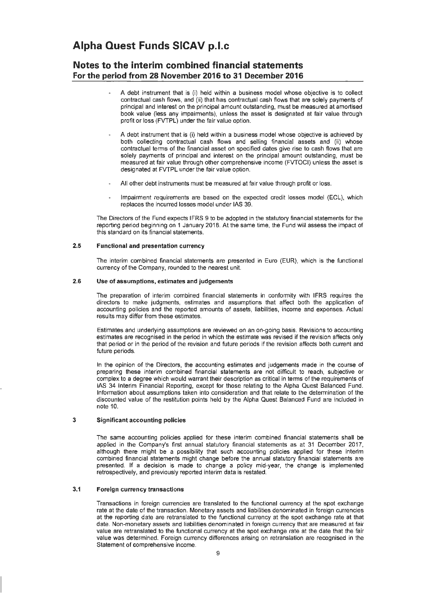## **Notes to the interim combined financial statements For the period from 28 November 2016 to 31 December 2016**

- A debt instrument that is (i) held within a business model whose objective is to collect contractual cash flows, and (ii) that has contractual cash flows that are solely payments of principal and interest on the principal amount outstanding, must be measured at amortised book value (less any impairments), unless the asset is designated at fair value through profit or loss (FVTPL) under the fair value option.
- A debt instrument that is (i) held within a business model whose objective is achieved by both collecting contractual cash flows and selling financial assets and (ii) whose contractual terms of the financial asset on specified dates give rise to cash flows that are solely payments of principal and interest on the principal amount outstanding, must be measured at fair value through other comprehensive income (FVTOCI) unless the asset is designated at FVTPL under the fair value option.
- All other debt instruments must be measured at fair value through profit or loss.
- Impairment requirements are based on the expected credit losses model (ECL), which replaces the incurred losses model under IAS 39.

The Directors of the Fund expects IFRS 9 to be adopted in the statutory financial statements for the reporting period beginning on 1 January 2018. At the same time, the Fund will assess the impact of this standard on its financial statements.

#### 2.5 Functional and presentation currency

The interim combined financial statements are presented in Euro (EUR), which is the functional currency of the Company, rounded to the nearest unit.

#### 2.6 Use of assumptions, estimates and judgements

The preparation of interim combined financial statements in conformity with IFRS requires the directors to make judgments, estimates and assumptions that affect both the application of accounting policies and the reported amounts of assets, liabilities, income and expenses. Actual results may differ from these estimates.

Estimates and underlying assumptions are reviewed on an on-going basis. Revisions to accounting estimates are recognised in the period in which the estimate was revised if the revision affects only that period or in the period of the revision and future periods if the revision affects both current and future periods.

In the opinion of the Directors, the accounting estimates and judgements made in the course of preparing these interim combined financial statements are not difficult to reach, subjective or complex to a degree which would warrant their description as critical in terms of the requirements of IAS 34 Interim Financial Reporting, except for those relating to the Alpha Quest Balanced Fund. Information about assumptions taken into consideration and that relate to the determination of the discounted value of the restitution points held by the Alpha Quest Balanced Fund are included in note 10.

#### 3 Significant accounting policies

The same accounting policies applied for these interim combined financial statements shall be applied in the Company's first annual statutory financial statements as at 31 December 2017, although there might be a possibility that such accounting policies applied for these interim combined financial statements might change before the annual statutory financial statements are presented. If a decision is made to change a policy mid-year, the change is implemented retrospectively, and previously reported interim data is restated.

#### 3.1 Foreign currency transactions

Transactions in foreign currencies are translated to the functional currency at the spot exchange rate at the date of the transaction. Monetary assets and liabilities denominated in foreign currencies at the reporting date are retranslated to the functional currency at the spot exchange rate at that date. Non-monetary assets and liabilities denominated in foreign currency that are measured at fair value are retranslated to the functional currency at the spot exchange rate at the date that the fair value was determined. Foreign currency differences arising on retranslation are recognised in the Statement of comprehensive income.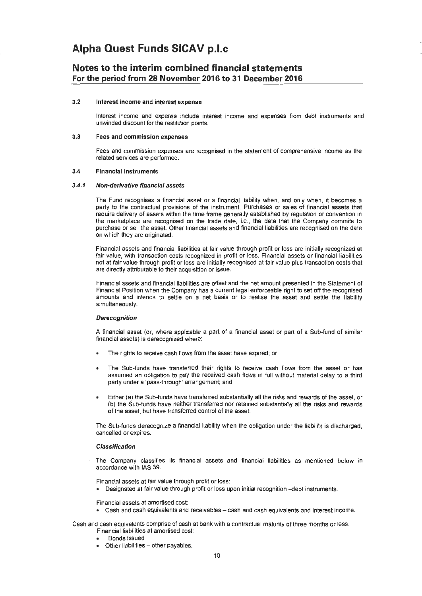## **Notes to the interim combined financial statements For the period from 28 November 2016 to 31 December 2016**

#### **3.2 Interest income and interest expense**

Interest income and expense include interest income and expenses from debt instruments and unwinded discount for the restitution points.

#### **3.3 Fees and commission expenses**

Fees and commission expenses are recognised in the statement of comprehensive income as the related services are performed.

#### **3.4 Financial instruments**

#### **3.4.1 Non-derivative financial assets**

The Fund recognises a financial asset or a financial liability when, and only when, it becomes a party to the contractual provisions of the instrument. Purchases or sales of financial assets that require delivery of assets within the time frame generally established by regulation or convention in the marketplace are recognised on the trade date, i.e., the date that the Company commits to purchase or sell the asset. Other financial assets and financial liabilities are recognised on the date on which they are originated.

Financial assets and financial liabilities at fair value through profit or loss are initially recognized at fair value, with transaction costs recognized in profit or loss. Financial assets or financial liabilities not at fair value through profit or loss are initially recognised at fair value plus transaction costs that are directly attributable to their acquisition or issue.

Financial assets and financial liabilities are offset and the net amount presented in the Statement of Financial Position when the Company has a current legal enforceable right to set off the recognised amounts and intends to settle on a net basis or to realise the asset and settle the liability simultaneously.

#### **Derecognition**

A financial asset (or, where applicable a part of a financial asset or part of a Sub-fund of similar financial assets) is derecognized where:

- The rights to receive cash flows from the asset have expired; or
- The Sub-funds have transferred their rights to receive cash flows from the asset or has assumed an obligation to pay the received cash flows in full without material delay to a third party under a 'pass-through' arrangement; and
- Either (a) the Sub-funds have transferred substantially all the risks and rewards of the asset, or (b) the Sub-funds have neither transferred nor retained substantially all the risks and rewards of the asset, but have transferred control of the asset.

The Sub-funds derecognize a financial liability when the obligation under the liability is discharged, cancelled or expires.

#### **Classification**

The Company classifies its financial assets and financial liabilities as mentioned below in accordance with IAS 39.

Financial assets at fair value through profit or loss:

• Designated at fair value through profit or loss upon initial recognition -debt instruments.

Financial assets at amortised cost:

• Cash and cash equivalents and receivables - cash and cash equivalents and interest income.

Cash and cash equivalents comprise of cash at bank with a contractual maturity of three months or less. Financial liabilities at amortised cost:

- Bonds issued
- Other liabilities other payables.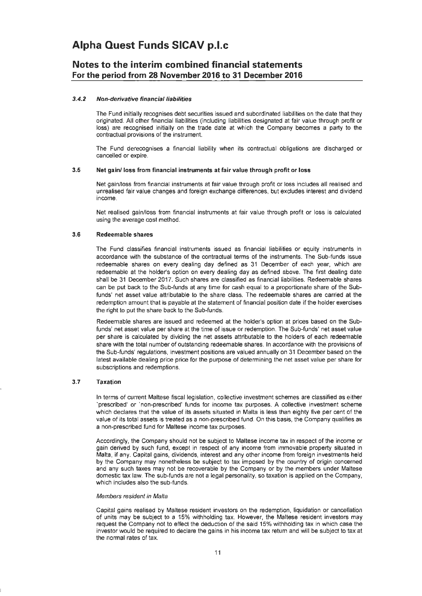## **Notes to the interim combined financial statements For the period from 28 November 2016 to 31 December 2016**

#### **3.4.2 Non-derivative financial liabilities**

The Fund initially recognises debt securities issued and subordinated liabilities on the date that they originated. All other financial liabilities (including liabilities designated at fair value through profit or loss) are recognised initially on the trade date at which the Company becomes a party to the contractual provisions of the instrument.

The Fund derecognises a financial liability when its contractual obligations are discharged or cancelled or expire.

#### **3.5 Net gain/ loss from financial instruments at fair value through profit or loss**

Net gain/loss from financial instruments at fair value through profit or loss includes all realised and unrealised fair value changes and foreign exchange differences, but excludes interest and dividend income.

Net realised gain/loss from financial instruments at fair value through profit or loss is calculated using the average cost method.

#### **3.6 Redeemable shares**

The Fund classifies financial instruments issued as financial liabilities or equity instruments in accordance with the substance of the contractual terms of the instruments. The Sub-funds issue redeemable shares on every dealing day defined as 31 December of each year, which are redeemable at the holder's option on every dealing day as defined above. The first dealing date shall be 31 December 2017. Such shares are classified as financial liabilities. Redeemable shares can be put back to the Sub-funds at any time for cash equal to a proportionate share of the Subfunds' net asset value attributable to the share class. The redeemable shares are carried at the redemption amount that is payable at the statement of financial position date if the holder exercises the right to put the share back to the Sub-funds.

Redeemable shares are issued and redeemed at the holder's option at prices based on the Subfunds' net asset value per share at the time of issue or redemption. The Sub-funds' net asset value per share is calculated by dividing the net assets attributable to the holders of each redeemable share with the total number of outstanding redeemable shares. In accordance with the provisions of the Sub-funds' regulations, investment positions are valued annually on 31 December based on the latest available dealing price price for the purpose of determining the net asset value per share for subscriptions and redemptions.

#### **3.7 Taxation**

In terms of current Maltese fiscal legislation, collective investment schemes are classified as either ' prescribed' or ·non-prescribed' funds for income tax purposes. A collective investment scheme which declares that the value of its assets situated in Malta is less than eighty five per cent of the value of its total assets is treated as a non-prescribed fund. On this basis, the Company qualifies as a non-prescribed fund for Maltese income tax purposes.

Accordingly, the Company should not be subject to Maltese income tax in respect of the income or gain derived by such fund, except in respect of any income from immovable property situated in Malta, if any. Capital gains, dividends, interest and any other income from foreign investments held by the Company may nonetheless be subject to tax imposed by the country of origin concerned and any such taxes may not be recoverable by the Company or by the members under Maltese domestic tax law. The sub-funds are not a legal personality, so taxation is applied on the Company, which includes also the sub-funds.

#### Members resident in Malta

Capital gains realised by Maltese resident investors on the redemption, liquidation or cancellation of units may be subject to a 15% withholding tax. However, the Maltese resident investors may request the Company not to effect the deduction of the said 15% withholding tax in which case the investor would be required to declare the gains in his income tax return and will be subject to tax at the normal rates of tax.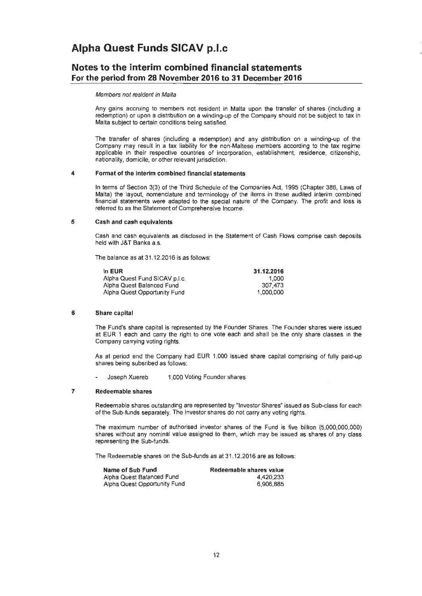## Notes to the interim combined financial statements For the period from 28 November 2016 to 31 December 2016

#### Members not resident in Malta

Any gains accruing to members not resident in Malta upon the transfer of shares (including a redemption) or upon a distribution on a winding-up of the Company should not be subject to tax in Malta subject to certain conditions being satisfied.

The transfer of shares (including a redemption) and any distribution on a winding-up of the Company may result in a tax liability for the non-Maltese members according to the tax regime applicable in their respective countries of incorporation, establishment, residence, citizenship, nationality, domicile, or other relevant jurisdiction.

#### 4 Fonnat of the interim combined financial statements

In terms of Section 3(3) of the Third Schedule of the Companies Act, 1995 (Chapter 386, Laws of Malta) the layout, nomenclature and terminology of the items in these audited interim combined financial statements were adapted to the special nature of the Company. The profit and loss is referred to as the Statement of Comprehensive Income.

#### 5 Cash and cash equivalents

Cash and cash equivalents as disclosed in the Statement of Cash Flows comprise cash deposits held with J&T Banka a.s.

The balance as at 31.12.2016 is as follows:

| In EUR                        | 31.12.2016 |
|-------------------------------|------------|
| Alpha Quest Fund SICAV p.l.c. | 1,000      |
| Alpha Quest Balanced Fund     | 307,473    |
| Alpha Quest Opportunity Fund  | 1,000,000  |

#### 6 Share capital

The Fund's share capital is represented by the Founder Shares. The Founder shares were issued at EUR 1 each and carry the right to one vote each and shall be the only share classes in the Company carrying voting rights.

As at period end the Company had EUR 1,000 issued share capital comprising of fully paid-up shares being subsribed as follows:

Joseph Xuereb 1,000 Voting Founder shares

#### 7 Redeemable shares

Redeemable shares outstanding are represented by "Investor Shares" issued as Sub-class for each of the Sub-funds separately. The Investor shares do not carry any voting rights.

The maximum number of authorised investor shares of the Fund is five billion (5,000,000,000) shares without any nominal value assigned to them, which may be issued as shares of any class representing the Sub-funds.

The Redeemable shares on the Sub-funds as at 31 .12.2016 are as follows:

| Name of Sub Fund             | Redeemable shares value |
|------------------------------|-------------------------|
| Alpha Quest Balanced Fund    | 4.420.233               |
| Alpha Quest Opportunity Fund | 6.906.885               |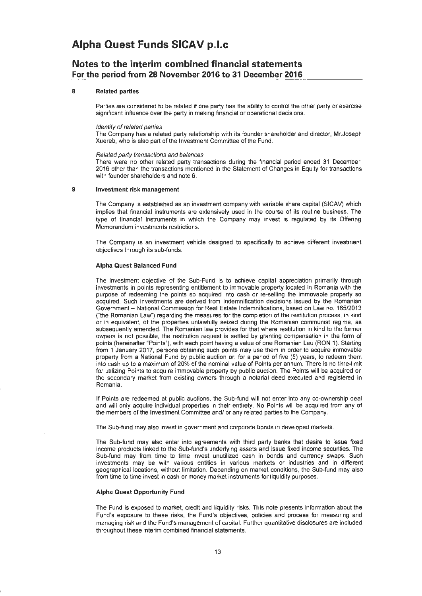### **Notes to the interim combined financial statements For the period from 28 November 2016 to 31 December 2016**

#### **8 Related parties**

Parties are considered to be related if one party has the ability to control the other party or exercise significant influence over the party in making financial or operational decisions.

#### Identity of related parties

The Company has a related party relationship with its founder shareholder and director, Mr.Joseph Xuereb, who is also part of the Investment Committee of the Fund.

#### Related party transactions and balances

There were no other related party transactions during the financial period ended 31 December, 2016 other than the transactions mentioned in the Statement of Changes in Equity for transactions with founder shareholders and note 6.

#### **9 Investment risk management**

The Company is established as an investment company with variable share capital (SICAV) which implies that financial instruments are extensively used in the course of its routine business. The type of financial instruments in which the Company may invest is regulated by its Offering Memorandum investments restrictions.

The Company is an investment vehicle designed to specifically to achieve different investment objectives through its sub-funds.

#### **Alpha Quest Balanced Fund**

The investment objective of the Sub-Fund is to achieve capital appreciation primarily through investments in points representing entitlement to immovable property located in Romania with the purpose of redeeming the points so acquired into cash or re-selling the immovable property so acquired. Such investments are derived from indemnification decisions issued by the Romanian Government- National Commission for Real Estate Indemnifications, based on Law no. 165/2013 ("the Romanian Law") regarding the measures for the completion of the restitution process, in kind or in equivalent, of the properties unlawfully seized during the Romanian communist regime, as subsequently amended. The Romanian law provides for that where restitution in kind to the former owners is not possible, the restitution request is settled by granting compensation in the form of points (hereinafter "Points"), with each point having a value of one Romanian Leu (RON 1). Starting from 1 January 2017, persons obtaining such points may use them in order to acquire immovable property from a National Fund by public auction or, for a period of five (5) years, to redeem them into cash up to a maximum of 20% of the nominal value of Points per annum. There is no time-limit for utilizing Points to acquire immovable property by public auction. The Points will be acquired on the secondary market from existing owners through a notarial deed executed and registered in Romania.

If Points are redeemed at public auctions, the Sub-fund will not enter into any co-ownership deal and will only acquire individual properties in their entirety. No Points will be acquired from any of the members of the Investment Committee and/ or any related parties to the Company.

The Sub-fund may also invest in government and corporate bonds in developed markets.

The Sub-fund may also enter into agreements with third party banks that desire to issue fixed income products linked to the Sub-fund's underlying assets and issue fixed income securities. The Sub-fund may from time to time invest unutilized cash in bonds and currency swaps. Such investments may be with various entities in various markets or industries and in different geographical locations, without limitation. Depending on market conditions, the Sub-fund may also from time to time invest in cash or money market instruments for liquidity purposes.

#### **Alpha Quest Opportunity Fund**

The Fund is exposed to market, credit and liquidity risks. This note presents information about the Fund's exposure to these risks, the Fund's objectives, policies and process for measuring and managing risk and the Fund's management of capital. Further quantitative disclosures are included throughout these interim combined financial statements.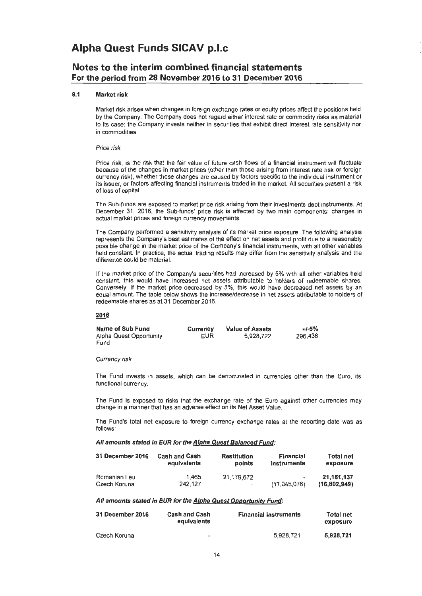### **Notes to the interim combined financial statements For the period from 28 November 2016 to 31 December 2016**

#### **9.1 Market risk**

Market risk arises when changes in foreign exchange rates or equity prices affect the positions held by the Company. The Company does not regard either interest rate or commodity risks as material to its case: the Company invests neither in securities that exhibit direct interest rate sensitivity nor in commodities.

#### Price risk

Price risk, is the risk that the fair value of future cash flows of a financial instrument will fluctuate because of the changes in market prices (other than those arising from interest rate risk or foreign currency risk), whether those changes are caused by factors specific to the individual instrument or its issuer, or factors affecting financial instruments traded in the market. All securities present a risk of loss of capital.

The Sub-funds are exposed to market price risk arising from their investments debt instruments. At December 31, 2016, the Sub-funds' price risk is affected by two main components: changes in actual market prices and foreign currency movements.

The Company performed a sensitivity analysis of its market price exposure. The following analysis represents the Company's best estimates of the effect on net assets and profit due to a reasonably possible change in the market price of the Company's financial instruments, with all other variables held constant. In practice, the actual trading results may differ from the sensitivity analysis and the difference could be material.

If the market price of the Company's securities had increased by 5% with all other variables held constant, this would have increased net assets attributable to holders of redeemable shares. Conversely, if the market price decreased by 5%, this would have decreased net assets by an equal amount. The table below shows the increase/decrease in net assets attributable to holders of redeemable shares as at 31 December 2016.

#### 2016

| Name of Sub Fund        | Currency | <b>Value of Assets</b> | $+/-5%$ |
|-------------------------|----------|------------------------|---------|
| Alpha Quest Opportunity | EUR      | 5.928.722              | 296,436 |
| Fund                    |          |                        |         |

#### Currency risk

The Fund invests in assets, which can be denominated in currencies other than the Euro, its functional currency.

The Fund is exposed to risks that the exchange rate of the Euro against other currencies may change in a manner that has an adverse effect on its Net Asset Value.

The Fund's total net exposure to foreign currency exchange rates at the reporting date was as follows:

#### **All amounts stated in EUR for the Alpha Quest Balanced Fund:**

| <b>31 December 2016</b> | <b>Cash and Cash</b> | <b>Restitution</b>       | <b>Financial</b>      | Total net    |
|-------------------------|----------------------|--------------------------|-----------------------|--------------|
|                         | equivalents          | points                   | instruments           | exposure     |
| Romanian Leu            | 1.465                | 21,179,672               | $\tilde{\phantom{a}}$ | 21,181,137   |
| Czech Koruna            | 242.127              | $\overline{\phantom{a}}$ | (17.045.076)          | (16.802.949) |

#### **All amounts stated in EUR for the Alpha Quest Opportunity Fund:**

| <b>31 December 2016</b> | <b>Cash and Cash</b><br>equivalents | <b>Financial instruments</b> | Total net<br>exposure |
|-------------------------|-------------------------------------|------------------------------|-----------------------|
| Czech Koruna            | -                                   | 5.928.721                    | 5.928.721             |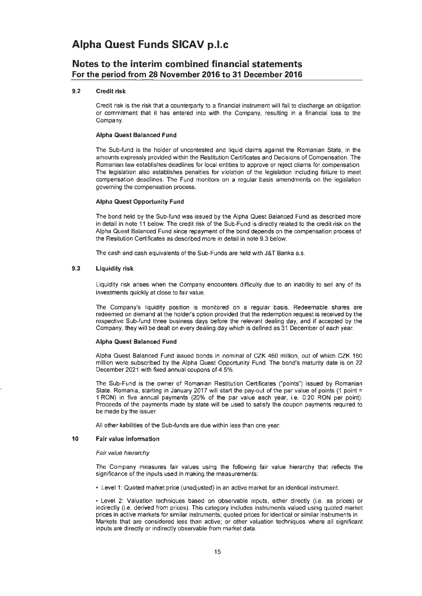## **Notes to the interim combined financial statements For the period from 28 November 2016 to 31 December 2016**

#### **9.2 Credit risk**

Credit risk is the risk that a counterparty to a financial instrument will fail to discharge an obligation or commitment that it has entered into with the Company, resulting in a financial loss to the Company.

#### **Alpha Quest Balanced Fund**

The Sub-fund is the holder of uncontested and liquid claims against the Romanian State, in the amounts expressly provided within the Restitution Certificates and Decisions of Compensation. The Romanian law establishes deadlines for local entities to approve or reject cliams for compensation. The legislation also establishes penalties for violation of the legislation including failure to meet compensation deadlines. The Fund monitors on a regular basis amendments on the legislation governing the compensation process.

#### **Alpha Quest Opportunity Fund**

The bond held by the Sub-fund was issued by the Alpha Quest Balanced Fund as described more in detail in note 11 below. The credit risk of the Sub-Fund is directly related to the credit risk on the Alpha Quest Balanced Fund since repayment of the bond depends on the compensation process of the Resitution Certificates as described more in detail in note 9.3 below.

The cash and cash equivalents of the Sub-Funds are held with J&T Banka a.s.

#### **9.3 Liquidity risk**

Liquidity risk arises when the Company encounters difficulty due to an inability to sell any of its investments quickly at close to fair value.

The Company's liquidity position is monitored on a regular basis. Redeemable shares are redeemed on demand at the holder's option provided that the redemption request is received by the respective Sub-fund three business days before the relevant dealing day, and if accepted by the Company, they will be dealt on every dealing day which is defined as 31 December of each year.

#### **Alpha Quest Balanced Fund**

Alpha Quest Balanced Fund issued bonds in nominal of CZK 460 million, out of which CZK 160 million were subscribed by the Alpha Quest Opportunity Fund. The bond's maturity date is on 22 December 2021 with fixed annual coupons of 4.5%.

The Sub-Fund is the owner of Romanian Restitution Certificates ("points") issued by Romanian State. Romania, starting in January 2017 will start the pay-out of the par value of points (1 point = 1 RON) in five annual payments (20% of the par value each year, i.e. 0.20 RON per point). Proceeds of the payments made by state will be used to satisfy the coupon payments required to be made by the issuer.

All other liabilities of the Sub-funds are due within less than one year.

#### **10 Fair value information**

#### Fair value hierarchy

The Company measures fair values using the following fair value hierarchy that reflects the significance of the inputs used in making the measurements:

• Level 1: Quoted market price (unadjusted) in an active market for an identical instrument.

• Level 2: Valuation techniques based on observable inputs, either directly (i.e. as prices) or indirectly (i.e. derived from prices). This category includes instruments valued using quoted market prices in active markets for similar instruments; quoted prices for identical or similar instruments in Markets that are considered less than active; or other valuation techniques where all significant inputs are directly or indirectly observable from market data.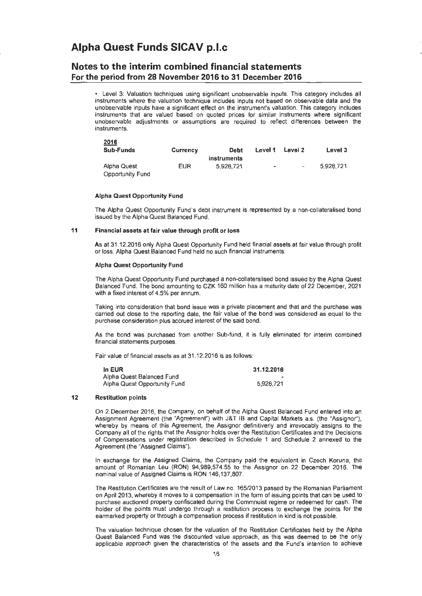## Notes to the interim combined financial statements For the period from 28 November 2016 to 31 December 2016

• Level 3: Valuation techniques using significant unobservable inputs. This category includes all instruments where the valuation technique includes inputs not based on observable data and the unobservable inputs have a significant effect on the instrument's valuation. This category includes instruments that are valued based on quoted prices for similar instruments where significant unobservable adjustments or assumptions are required to reflect differences between the instruments.

| 2016<br>Sub-Funds                      | Currency   | <b>Debt</b><br>instruments | Level 1 | Level 2                  | Level 3   |
|----------------------------------------|------------|----------------------------|---------|--------------------------|-----------|
| Alpha Quest<br><b>Opportunity Fund</b> | <b>EUR</b> | 5.928.721                  | ۰       | $\overline{\phantom{0}}$ | 5.928.721 |

#### Alpha Quest Opportunity Fund

The Alpha Quest Opportunity Fund's debt instrument is represented by a non-collateralised bond issued by the Alpha Quest Balanced Fund.

#### 11 Financial assets at fair value through profit or loss

As at 31 .12.2016 only Alpha Quest Opportunity Fund held finacial assets at fair value through profit or loss. Alpha Quest Balanced Fund held no such financial instruments.

#### Alpha Quest Opportunity Fund

The Alpha Quest Opportunity Fund purchased a non-collateralised bond issued by the Alpha Quest Balanced Fund. The bond amounting to CZK 160 million has a maturity date of 22 December, 2021 with a fixed interest of 4.5% per annum.

Taking into consideration that bond issue was a private placement and that and the purchase was carried out close to the reporting date, the fair value of the bond was considered as equal to the purchase consideration plus accrued interest of the said bond.

As the bond was purchased from another Sub-fund, it is fully eliminated for interim combined financial statements purposes.

Fair value of financial assets as at 31 .12.2016 is as follows:

| In EUR                       | 31.12.2016               |
|------------------------------|--------------------------|
| Alpha Quest Balanced Fund    | $\overline{\phantom{0}}$ |
| Alpha Quest Opportunity Fund | 5,928,721                |

#### 12 Restitution points

On 2 December 2016, the Company, on behalf of the Alpha Quest Balanced Fund entered into an Assignment Agreement (the "Agreement") with J&T IB and Capital Markets a.s. (the "Assignor"), whereby by means of this Agreement, the Assignor definitiverly and irrevocably assigns to the Company all of the rights that the Assignor holds over the Restitution Certificates and the Decisions of Compensations under registration described in Schedule 1 and Schedule 2 annexed to the Agreement (the "Assigned Claims").

In exchange for the Assigned Claims, the Company paid the equivalent in Czech Koruna, the amount of Romanian Leu (RON) 94,989,574.55 to the Assignor on 22 December 2016. The nominal value of Assigned Claims is RON 146, 137,807.

The Restitution Certificates are the result of Law no. 165/2013 passed by the Romanian Parliament on April 2013, whereby it moves to a compensation in the form of issuing points that can be used to purchase auctioned property confiscated during the Commnuist regime or redeemed for cash. The holder of the points must undergo through a restitution process to exchange the points for the earmarked property or through a compensation process if restitution in kind is not possible.

The valuation technique chosen for the valuation of the Restitution Certificates held by the Alpha Quest Balanced Fund was the discounted value approach, as this was deemed to be the only applicable approach given the characteristics of the assets and the Fund's intention to achieve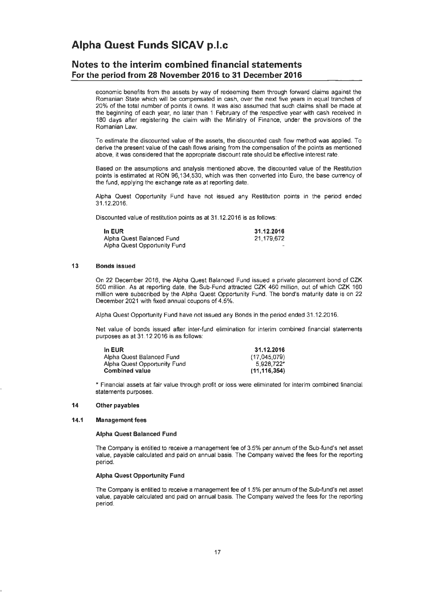## **Notes to the interim combined financial statements For the period from 28 November 2016 to 31 December 2016**

economic benefits from the assets by way of redeeming them through forward claims against the Romanian State which will be compensated in cash, over the next five years in equal tranches of 20% of the total number of points it owns. It was also assumed that such claims shall be made at the beginning of each year, no later than 1 February of the respective year with cash received in 180 days after registering the claim with the Ministry of Finance, under the provisions of the Romanian Law.

To estimate the discounted value of the assets, the discounted cash flow method was applied. To derive the present value of the cash flows arising from the compensation of the points as mentioned above, it was considered that the appropriate discount rate should be effective interest rate.

Based on the assumptions and analysis mentioned above, the discounted value of the Restitution points is estimated at RON 96, 134,530, which was then converted into Euro, the base currency of the fund, applying the exchange rate as at reporting date.

Alpha Quest Opportunity Fund have not issued any Restitution points in the period ended 31.12.2016.

Discounted value of restitution points as at 31 .12.2016 is as follows:

| In EUR                       | 31.12.2016               |
|------------------------------|--------------------------|
| Alpha Quest Balanced Fund    | 21.179.672               |
| Alpha Quest Opportunity Fund | $\overline{\phantom{a}}$ |

#### **13 Bonds issued**

On 22 December 2016, the Alpha Quest Balanced Fund issued a private placement bond of CZK 500 million. As at reporting date, the Sub-Fund attracted CZK 460 million, out of which CZK 160 million were subscribed by the Alpha Quest Opportunity Fund. The bond's maturity date is on 22 December 2021 with fixed annual coupons of 4.5%.

Alpha Quest Opportunity Fund have not issued any Bonds in the period ended 31 .12.2016.

Net value of bonds issued after inter-fund elimination for interim combined financial statements purposes as at 31.12.2016 is as follows:

| In EUR.                      | 31.12.2016     |
|------------------------------|----------------|
| Alpha Quest Balanced Fund    | (17.045.079)   |
| Alpha Quest Opportunity Fund | 5.928.722*     |
| <b>Combined value</b>        | (11, 116, 354) |

• Financial assets at fair value through profit or loss were eliminated for interim combined financial statements purposes.

#### **14 Other payables**

#### **14.1 Management fees**

#### **Alpha Quest Balanced Fund**

The Company is entitled to receive a management fee of 3.5% per annum of the Sub-fund's net asset value, payable calculated and paid on annual basis. The Company waived the fees for the reporting period.

#### **Alpha Quest Opportunity Fund**

The Company is entitled to receive a management fee of 1.5% per annum of the Sub-fund's net asset value, payable calculated and paid on annual basis. The Company waived the fees for the reporting period.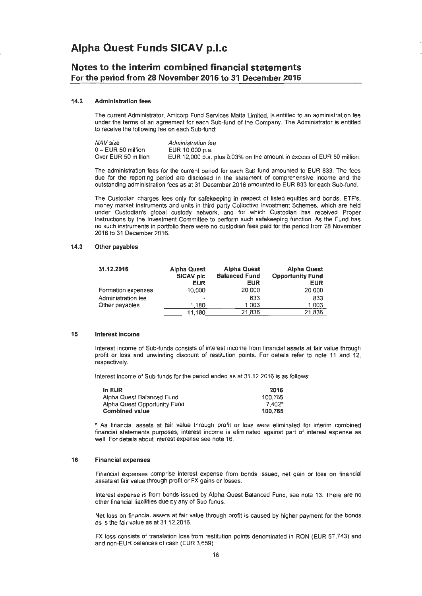## **Notes to the interim combined financial statements For the period from 28 November 2016 to 31 December 2016**

#### **14.2 Administration fees**

The current Administrator, Amicorp Fund Services Malta Limited, is entitled to an administration fee under the terms of an agreement for each Sub-fund of the Company. The Administrator is entitled to receive the following fee on each Sub-fund:

| NAV size             | Administration fee                                                    |
|----------------------|-----------------------------------------------------------------------|
| $0 - EUR 50$ million | EUR 10,000 p.a.                                                       |
| Over EUR 50 million  | EUR 12,000 p.a. plus 0.03% on the amount in excess of EUR 50 million. |

The administration fees for the current period for each Sub-fund amounted to EUR 833. The fees due for the reporting period are disclosed in the statement of comprehensive income and the outstanding administration fees as at 31 December 2016 amounted to EUR 833 for each Sub-fund.

The Custodian charges fees only for safekeeping in respect of listed equities and bonds, ETF's, money market instruments and units in third party Collective Investment Schemes, which are held under Custodian's global custody network, and for which Custodian has received Proper Instructions by the Investment Committee to perform such safekeeping function. As the Fund has no such instruments in portfolio there were no custodian fees paid for the period from 28 November 2016 to 31 December 2016.

#### **14.3 Other payables**

| 31.12.2016         | <b>Alpha Quest</b><br>SICAV plc<br><b>EUR</b> | <b>Alpha Quest</b><br><b>Balanced Fund</b><br><b>EUR</b> | <b>Alpha Quest</b><br><b>Opportunity Fund</b><br><b>EUR</b> |
|--------------------|-----------------------------------------------|----------------------------------------------------------|-------------------------------------------------------------|
| Formation expenses | 10,000                                        | 20,000                                                   | 20,000                                                      |
| Administration fee |                                               | 833                                                      | 833                                                         |
| Other payables     | 1,180                                         | 1.003                                                    | 1,003                                                       |
|                    | 11.180                                        | 21,836                                                   | 21.836                                                      |

#### **15 Interest income**

Interest income of Sub-funds consists of interest income from financial assets at fair value through profit or loss and unwinding discount of restitution points. For details refer to note 11 and 12, respectively.

Interest income of Sub-funds for the period ended as at 31.12.2016 is as follows:

| In EUR                       | 2016    |
|------------------------------|---------|
| Alpha Quest Balanced Fund    | 100,765 |
| Alpha Quest Opportunity Fund | 7.402*  |
| <b>Combined value</b>        | 100.765 |

\* As financial assets at fair value through profit or loss were eliminated for interim combined financial statements purposes, interest income is eliminated against part of interest expense as well. For details about interest expense see note 16.

#### **16 Financial expenses**

Financial expenses comprise interest expense from bonds issued, net gain or loss on financial assets at fair value through profit or FX gains or losses.

Interest expense is from bonds issued by Alpha Quest Balanced Fund, see note 13. There are no other financial liabilities due by any of Sub-funds.

Net loss on financial assets at fair value through profit is caused by higher payment for the bonds as is the fair value as at 31.12.2016.

FX loss consists of translation loss from restitution points denominated in RON (EUR 57,743) and and non-EUR balances of cash (EUR 3,659).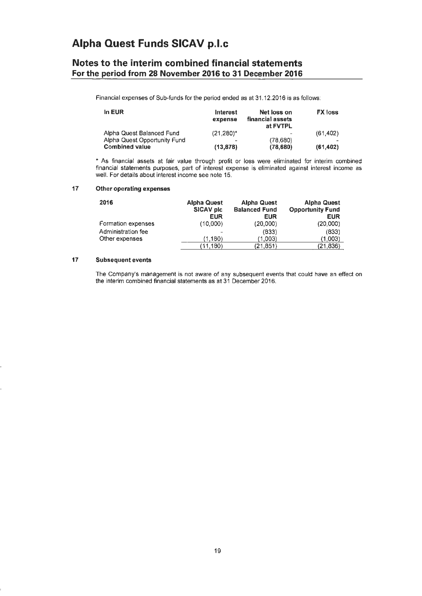## Notes to the interim combined financial statements For the period from 28 November 2016 to 31 December 2016

Financial expenses of Sub-funds for the period ended as at 31 .12.2016 is as follows:

| In EUR                       | <b>Interest</b><br>expense | Net loss on<br>financial assets<br>at FVTPL | <b>FX loss</b> |
|------------------------------|----------------------------|---------------------------------------------|----------------|
| Alpha Quest Balanced Fund    | $(21, 280)^*$              |                                             | (61.402)       |
| Alpha Quest Opportunity Fund | -                          | (78,680)                                    |                |
| <b>Combined value</b>        | (13, 878)                  | (78,680)                                    | (61, 402)      |

\* As financial assets at fair value through profit or loss were eliminated for interim combined financial statements purposes, part of interest expense is eliminated against interest income as well. For details about interest income see note 15.

#### 17 Other operating expenses

| 2016               | <b>Alpha Quest</b><br>SICAV plc<br><b>EUR</b> | Alpha Quest<br><b>Balanced Fund</b><br><b>EUR</b> | <b>Alpha Quest</b><br><b>Opportunity Fund</b><br><b>EUR</b> |
|--------------------|-----------------------------------------------|---------------------------------------------------|-------------------------------------------------------------|
| Formation expenses | (10,000)                                      | (20,000)                                          | (20,000)                                                    |
| Administration fee |                                               | (833)                                             | (833)                                                       |
| Other expenses     | (1, 180)                                      | (1,003)                                           | (1,003)                                                     |
|                    | (11.180)                                      | (21, 851)                                         | (21, 836)                                                   |

#### 17 Subsequent events

The Company's management is not aware of any subsequent events that could have an effect on the interim combined financial statements as at 31 December 2016.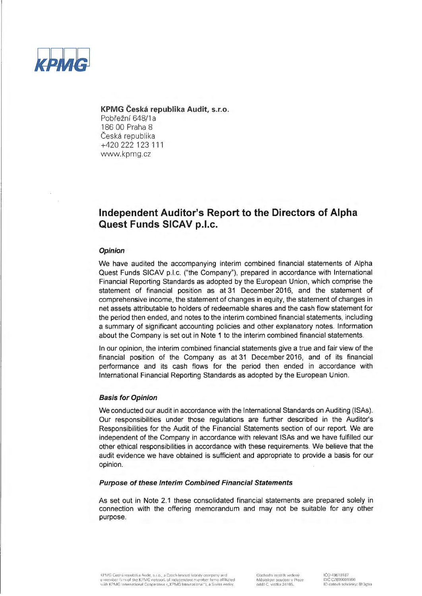

### KPMG Ceska republika Audit, s.r.o.

Pobřežní 648/1a 186 00 Praha 8 Ceska republika +420 222 123 111 www.kpmg.cz

## Independent Auditor's Report to the Directors of Alpha Quest Funds SICAV p.l.c.

#### Opinion

We have audited the accompanying interim combined financial statements of Alpha Quest Funds SICAV p.l.c. ("the Company"), prepared in accordance with International Financial Reporting Standards as adopted by the European Union, which comprise the statement of financial position as at 31 December 2016, and the statement of comprehensive income, the statement of changes in equity, the statement of changes in net assets attributable to holders of redeemable shares and the cash flow statement for the period then ended, and notes to the interim combined financial statements, including a summary of significant accounting policies and other explanatory notes. Information about the Company is set out in Note 1 to the interim combined financial statements.

In our opinion, the interim combined financial statements give a true and fair view of the financial position of the Company as at 31 December 2016, and of its financial performance and its cash flows for the period then ended in accordance with International Financial Reporting Standards as adopted by the European Union.

#### Basis for Opinion

We conducted our audit in accordance with the International Standards on Auditing (ISAs). Our responsibilities under those regulations are further described in the Auditor's Responsibilities for the Audit of the Financial Statements section of our report. We are independent of the Company in accordance with relevant ISAs and we have fulfilled our other ethical responsibilities in accordance with these requirements. We believe that the audit evidence we have obtained is sufficient and appropriate to provide a basis for our opinion.

### Purpose of these Interim Combined Financial Statements

As set out in Note 2.1 these consolidated financial statements are prepared solely in connection with the offering memorandum and may not be suitable for any other purpose.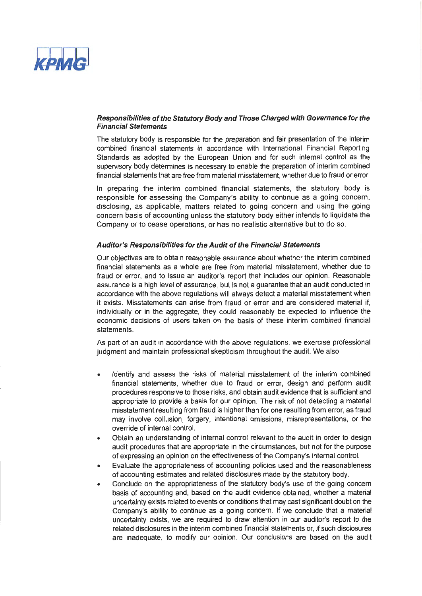

### **Responsibilities of the Statutory Body and Those Charged with Governance for the Financial Statements**

The statutory body is responsible for the preparation and fair presentation of the interim combined financial statements in accordance with International Financial Reporting Standards as adopted by the European Union and for such internal control as the supervisory body determines is necessary to enable the preparation of interim combined financial statements that are free from material misstatement, whether due to fraud or error.

In preparing the interim combined financial statements, the statutory body is responsible for assessing the Company's ability to continue as a going concern, disclosing, as applicable, matters related to going concern and using the going concern basis of accounting unless the statutory body either intends to liquidate the Company or to cease operations, or has no realistic alternative but to do so.

### **Auditor's Responsibilities for the Audit of the Financial Statements**

Our objectives are to obtain reasonable assurance about whether the interim combined financial statements as a whole are free from material misstatement, whether due to fraud or error, and to issue an auditor's report that includes our opinion. Reasonable assurance is a high level of assurance, but is not a guarantee that an audit conducted in accordance with the above regulations will always detect a material misstatement when it exists. Misstatements can arise from fraud or error and are considered material if, individually or in the aggregate, they could reasonably be expected to influence the economic decisions of users taken on the basis of these interim combined financial statements.

As part of an audit in accordance with the above regulations, we exercise professional judgment and maintain professional skepticism throughout the audit. We also:

- Identify and assess the risks of material misstatement of the interim combined financial statements, whether due to fraud or error, design and perform audit procedures responsive to those risks, and obtain audit evidence that is sufficient and appropriate to provide a basis for our opinion. The risk of not detecting a material misstatement resulting from fraud is higher than for one resulting from error, as fraud may involve collusion, forgery, intentional omissions, misrepresentations, or the override of internal control.
- Obtain an understanding of internal control relevant to the audit in order to design audit procedures that are appropriate in the circumstances, but not for the purpose of expressing an opinion on the effectiveness of the Company's internal control.
- Evaluate the appropriateness of accounting policies used and the reasonableness of accounting estimates and related disclosures made by the statutory body.
- Conclude on the appropriateness of the statutory body's use of the going concern basis of accounting and, based on the audit evidence obtained, whether a material uncertainty exists related to events or conditions that may cast significant doubt on the Company's ability to continue as a going concern. If we conclude that a material uncertainty exists, we are required to draw attention in our auditor's report to the related disclosures in the interim combined financial statements or, if such disclosures are inadequate. to modify our opinion. Our conclusions are based on the audit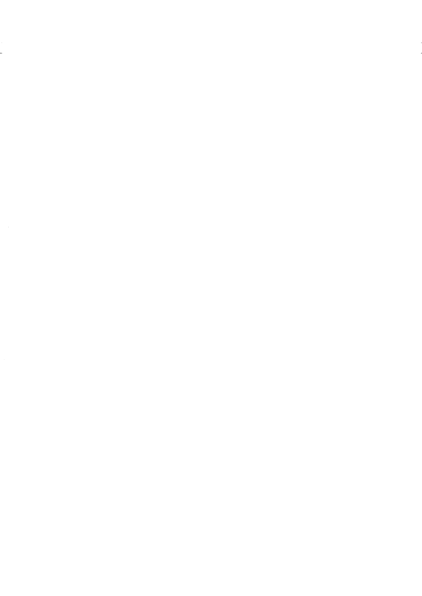$\mathcal{A}^{\text{max}}_{\text{max}}$